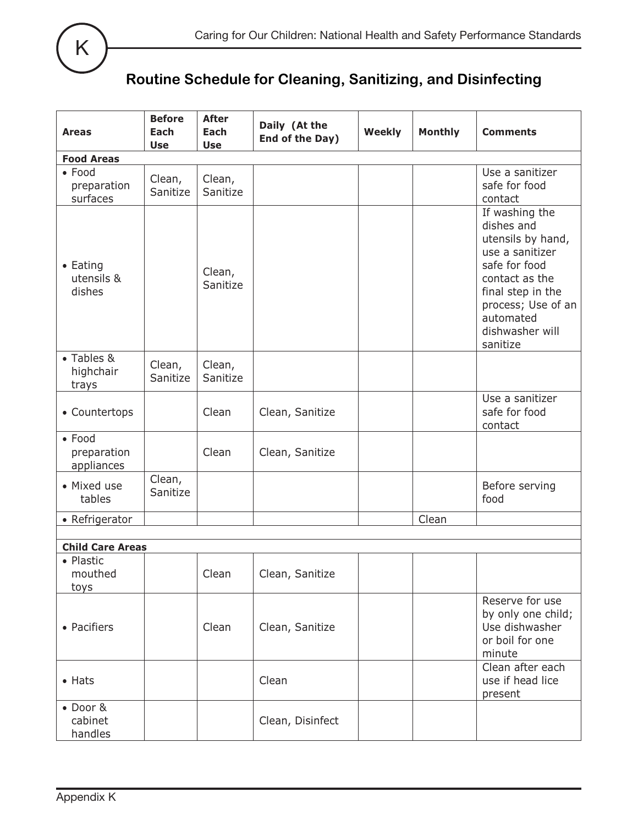

## **Routine Schedule for Cleaning, Sanitizing, and Disinfecting**

| <b>Areas</b>                              | <b>Before</b><br><b>Each</b><br><b>Use</b> | <b>After</b><br>Each<br><b>Use</b> | Daily (At the<br>End of the Day) | <b>Weekly</b> | <b>Monthly</b> | <b>Comments</b>                                                                                                                                                                                |  |  |  |  |
|-------------------------------------------|--------------------------------------------|------------------------------------|----------------------------------|---------------|----------------|------------------------------------------------------------------------------------------------------------------------------------------------------------------------------------------------|--|--|--|--|
| <b>Food Areas</b>                         |                                            |                                    |                                  |               |                |                                                                                                                                                                                                |  |  |  |  |
| $\bullet$ Food<br>preparation<br>surfaces | Clean,<br>Sanitize                         | Clean,<br>Sanitize                 |                                  |               |                | Use a sanitizer<br>safe for food<br>contact                                                                                                                                                    |  |  |  |  |
| $\bullet$ Eating<br>utensils &<br>dishes  |                                            | Clean,<br>Sanitize                 |                                  |               |                | If washing the<br>dishes and<br>utensils by hand,<br>use a sanitizer<br>safe for food<br>contact as the<br>final step in the<br>process; Use of an<br>automated<br>dishwasher will<br>sanitize |  |  |  |  |
| • Tables &<br>highchair<br>trays          | Clean,<br>Sanitize                         | Clean,<br>Sanitize                 |                                  |               |                |                                                                                                                                                                                                |  |  |  |  |
| • Countertops                             |                                            | Clean                              | Clean, Sanitize                  |               |                | Use a sanitizer<br>safe for food<br>contact                                                                                                                                                    |  |  |  |  |
| • Food<br>preparation<br>appliances       |                                            | Clean                              | Clean, Sanitize                  |               |                |                                                                                                                                                                                                |  |  |  |  |
| • Mixed use<br>tables                     | Clean,<br>Sanitize                         |                                    |                                  |               |                | Before serving<br>food                                                                                                                                                                         |  |  |  |  |
| • Refrigerator                            |                                            |                                    |                                  |               | Clean          |                                                                                                                                                                                                |  |  |  |  |
|                                           |                                            |                                    |                                  |               |                |                                                                                                                                                                                                |  |  |  |  |
| <b>Child Care Areas</b>                   |                                            |                                    |                                  |               |                |                                                                                                                                                                                                |  |  |  |  |
| • Plastic<br>mouthed<br>toys              |                                            | Clean                              | Clean, Sanitize                  |               |                |                                                                                                                                                                                                |  |  |  |  |
| • Pacifiers                               |                                            | Clean                              | Clean, Sanitize                  |               |                | Reserve for use<br>by only one child;<br>Use dishwasher<br>or boil for one<br>minute                                                                                                           |  |  |  |  |
| $\bullet$ Hats                            |                                            |                                    | Clean                            |               |                | Clean after each<br>use if head lice<br>present                                                                                                                                                |  |  |  |  |
| • Door &<br>cabinet<br>handles            |                                            |                                    | Clean, Disinfect                 |               |                |                                                                                                                                                                                                |  |  |  |  |